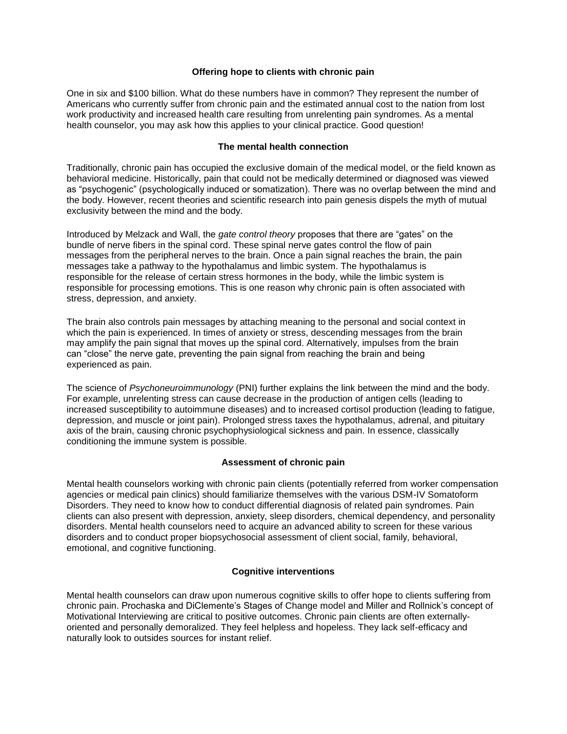# **Offering hope to clients with chronic pain**

One in six and \$100 billion. What do these numbers have in common? They represent the number of Americans who currently suffer from chronic pain and the estimated annual cost to the nation from lost work productivity and increased health care resulting from unrelenting pain syndromes. As a mental health counselor, you may ask how this applies to your clinical practice. Good question!

# **The mental health connection**

Traditionally, chronic pain has occupied the exclusive domain of the medical model, or the field known as behavioral medicine. Historically, pain that could not be medically determined or diagnosed was viewed as "psychogenic" (psychologically induced or somatization). There was no overlap between the mind and the body. However, recent theories and scientific research into pain genesis dispels the myth of mutual exclusivity between the mind and the body.

Introduced by Melzack and Wall, the *gate control theory* proposes that there are "gates" on the bundle of nerve fibers in the spinal cord. These spinal nerve gates control the flow of pain messages from the peripheral nerves to the brain. Once a pain signal reaches the brain, the pain messages take a pathway to the hypothalamus and limbic system. The hypothalamus is responsible for the release of certain stress hormones in the body, while the limbic system is responsible for processing emotions. This is one reason why chronic pain is often associated with stress, depression, and anxiety.

The brain also controls pain messages by attaching meaning to the personal and social context in which the pain is experienced. In times of anxiety or stress, descending messages from the brain may amplify the pain signal that moves up the spinal cord. Alternatively, impulses from the brain can "close" the nerve gate, preventing the pain signal from reaching the brain and being experienced as pain.

The science of *Psychoneuroimmunology* (PNI) further explains the link between the mind and the body. For example, unrelenting stress can cause decrease in the production of antigen cells (leading to increased susceptibility to autoimmune diseases) and to increased cortisol production (leading to fatigue, depression, and muscle or joint pain). Prolonged stress taxes the hypothalamus, adrenal, and pituitary axis of the brain, causing chronic psychophysiological sickness and pain. In essence, classically conditioning the immune system is possible.

# **Assessment of chronic pain**

Mental health counselors working with chronic pain clients (potentially referred from worker compensation agencies or medical pain clinics) should familiarize themselves with the various DSM-IV Somatoform Disorders. They need to know how to conduct differential diagnosis of related pain syndromes. Pain clients can also present with depression, anxiety, sleep disorders, chemical dependency, and personality disorders. Mental health counselors need to acquire an advanced ability to screen for these various disorders and to conduct proper biopsychosocial assessment of client social, family, behavioral, emotional, and cognitive functioning.

# **Cognitive interventions**

Mental health counselors can draw upon numerous cognitive skills to offer hope to clients suffering from chronic pain. Prochaska and DiClemente's Stages of Change model and Miller and Rollnick's concept of Motivational Interviewing are critical to positive outcomes. Chronic pain clients are often externallyoriented and personally demoralized. They feel helpless and hopeless. They lack self-efficacy and naturally look to outsides sources for instant relief.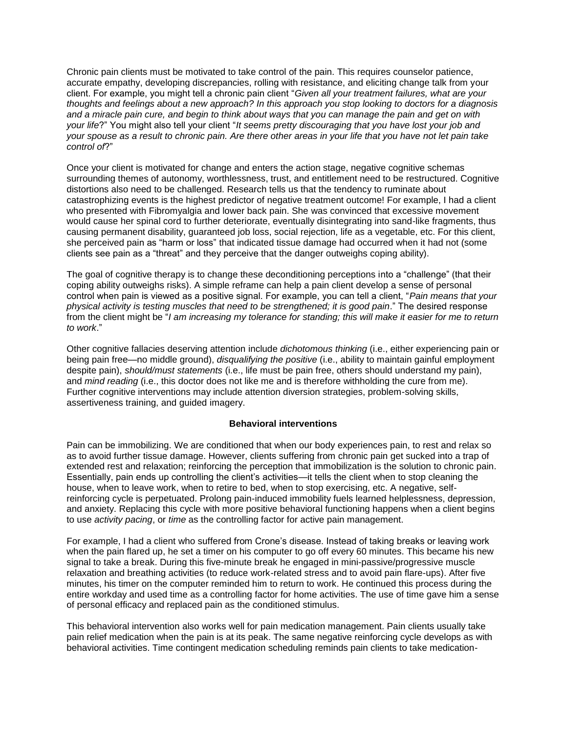Chronic pain clients must be motivated to take control of the pain. This requires counselor patience, accurate empathy, developing discrepancies, rolling with resistance, and eliciting change talk from your client. For example, you might tell a chronic pain client "*Given all your treatment failures, what are your thoughts and feelings about a new approach? In this approach you stop looking to doctors for a diagnosis and a miracle pain cure, and begin to think about ways that you can manage the pain and get on with your life*?" You might also tell your client "*It seems pretty discouraging that you have lost your job and your spouse as a result to chronic pain. Are there other areas in your life that you have not let pain take control of*?"

Once your client is motivated for change and enters the action stage, negative cognitive schemas surrounding themes of autonomy, worthlessness, trust, and entitlement need to be restructured. Cognitive distortions also need to be challenged. Research tells us that the tendency to ruminate about catastrophizing events is the highest predictor of negative treatment outcome! For example, I had a client who presented with Fibromyalgia and lower back pain. She was convinced that excessive movement would cause her spinal cord to further deteriorate, eventually disintegrating into sand-like fragments, thus causing permanent disability, guaranteed job loss, social rejection, life as a vegetable, etc. For this client, she perceived pain as "harm or loss" that indicated tissue damage had occurred when it had not (some clients see pain as a "threat" and they perceive that the danger outweighs coping ability).

The goal of cognitive therapy is to change these deconditioning perceptions into a "challenge" (that their coping ability outweighs risks). A simple reframe can help a pain client develop a sense of personal control when pain is viewed as a positive signal. For example, you can tell a client, "*Pain means that your physical activity is testing muscles that need to be strengthened; it is good pain*." The desired response from the client might be "*I am increasing my tolerance for standing; this will make it easier for me to return to work*."

Other cognitive fallacies deserving attention include *dichotomous thinking* (i.e., either experiencing pain or being pain free—no middle ground), *disqualifying the positive* (i.e., ability to maintain gainful employment despite pain), *should/must statements* (i.e., life must be pain free, others should understand my pain), and *mind reading* (i.e., this doctor does not like me and is therefore withholding the cure from me). Further cognitive interventions may include attention diversion strategies, problem-solving skills, assertiveness training, and guided imagery.

# **Behavioral interventions**

Pain can be immobilizing. We are conditioned that when our body experiences pain, to rest and relax so as to avoid further tissue damage. However, clients suffering from chronic pain get sucked into a trap of extended rest and relaxation; reinforcing the perception that immobilization is the solution to chronic pain. Essentially, pain ends up controlling the client's activities—it tells the client when to stop cleaning the house, when to leave work, when to retire to bed, when to stop exercising, etc. A negative, selfreinforcing cycle is perpetuated. Prolong pain-induced immobility fuels learned helplessness, depression, and anxiety. Replacing this cycle with more positive behavioral functioning happens when a client begins to use *activity pacing*, or *time* as the controlling factor for active pain management.

For example, I had a client who suffered from Crone's disease. Instead of taking breaks or leaving work when the pain flared up, he set a timer on his computer to go off every 60 minutes. This became his new signal to take a break. During this five-minute break he engaged in mini-passive/progressive muscle relaxation and breathing activities (to reduce work-related stress and to avoid pain flare-ups). After five minutes, his timer on the computer reminded him to return to work. He continued this process during the entire workday and used time as a controlling factor for home activities. The use of time gave him a sense of personal efficacy and replaced pain as the conditioned stimulus.

This behavioral intervention also works well for pain medication management. Pain clients usually take pain relief medication when the pain is at its peak. The same negative reinforcing cycle develops as with behavioral activities. Time contingent medication scheduling reminds pain clients to take medication